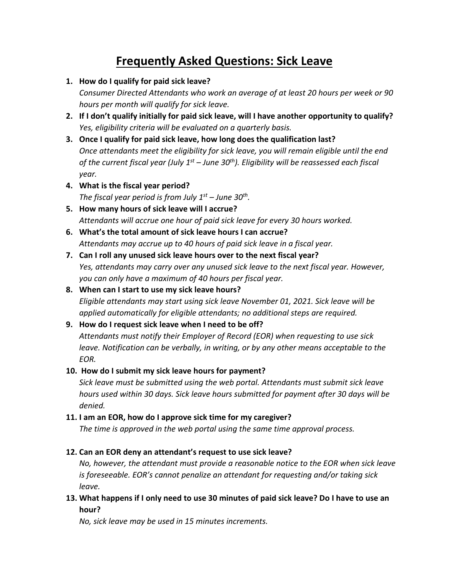# **Frequently Asked Questions: Sick Leave**

**1. How do I qualify for paid sick leave?**

*Consumer Directed Attendants who work an average of at least 20 hours per week or 90 hours per month will qualify for sick leave.* 

- **2. If I don't qualify initially for paid sick leave, will I have another opportunity to qualify?** *Yes, eligibility criteria will be evaluated on a quarterly basis.*
- **3. Once I qualify for paid sick leave, how long does the qualification last?** *Once attendants meet the eligibility for sick leave, you will remain eligible until the end of the current fiscal year (July 1st – June 30th). Eligibility will be reassessed each fiscal year.*
- **4. What is the fiscal year period?** *The fiscal year period is from July 1st – June 30th.*
- **5. How many hours of sick leave will I accrue?** *Attendants will accrue one hour of paid sick leave for every 30 hours worked.*
- **6. What's the total amount of sick leave hours I can accrue?** *Attendants may accrue up to 40 hours of paid sick leave in a fiscal year.*
- **7. Can I roll any unused sick leave hours over to the next fiscal year?** *Yes, attendants may carry over any unused sick leave to the next fiscal year. However, you can only have a maximum of 40 hours per fiscal year.*
- **8. When can I start to use my sick leave hours?** *Eligible attendants may start using sick leave November 01, 2021. Sick leave will be applied automatically for eligible attendants; no additional steps are required.*

## **9. How do I request sick leave when I need to be off?**

*Attendants must notify their Employer of Record (EOR) when requesting to use sick leave. Notification can be verbally, in writing, or by any other means acceptable to the EOR.*

### **10. How do I submit my sick leave hours for payment?**

*Sick leave must be submitted using the web portal. Attendants must submit sick leave hours used within 30 days. Sick leave hours submitted for payment after 30 days will be denied.* 

### **11. I am an EOR, how do I approve sick time for my caregiver?**

*The time is approved in the web portal using the same time approval process.* 

### **12. Can an EOR deny an attendant's request to use sick leave?**

*No, however, the attendant must provide a reasonable notice to the EOR when sick leave is foreseeable. EOR's cannot penalize an attendant for requesting and/or taking sick leave.* 

**13. What happens if I only need to use 30 minutes of paid sick leave? Do I have to use an hour?** 

*No, sick leave may be used in 15 minutes increments.*